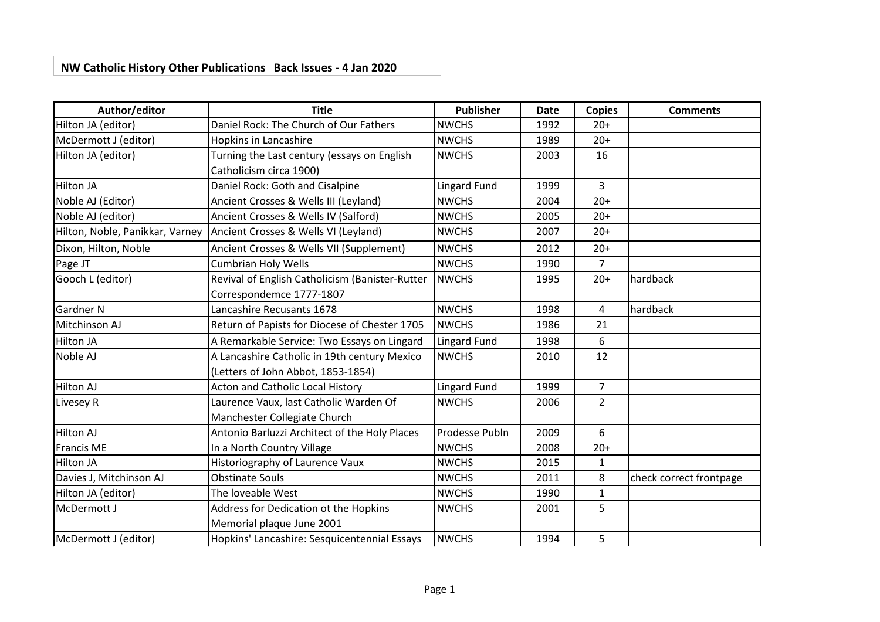## **NW Catholic History Other Publications Back Issues - 4 Jan 2020**

| Author/editor                   | <b>Title</b>                                    | <b>Publisher</b>    | <b>Date</b> | <b>Copies</b>  | <b>Comments</b>         |
|---------------------------------|-------------------------------------------------|---------------------|-------------|----------------|-------------------------|
| Hilton JA (editor)              | Daniel Rock: The Church of Our Fathers          | <b>NWCHS</b>        | 1992        | $20+$          |                         |
| McDermott J (editor)            | Hopkins in Lancashire                           | <b>NWCHS</b>        | 1989        | $20+$          |                         |
| Hilton JA (editor)              | Turning the Last century (essays on English     | <b>NWCHS</b>        | 2003        | 16             |                         |
|                                 | Catholicism circa 1900)                         |                     |             |                |                         |
| Hilton JA                       | Daniel Rock: Goth and Cisalpine                 | Lingard Fund        | 1999        | 3              |                         |
| Noble AJ (Editor)               | Ancient Crosses & Wells III (Leyland)           | <b>NWCHS</b>        | 2004        | $20+$          |                         |
| Noble AJ (editor)               | Ancient Crosses & Wells IV (Salford)            | <b>NWCHS</b>        | 2005        | $20+$          |                         |
| Hilton, Noble, Panikkar, Varney | Ancient Crosses & Wells VI (Leyland)            | <b>NWCHS</b>        | 2007        | $20+$          |                         |
| Dixon, Hilton, Noble            | Ancient Crosses & Wells VII (Supplement)        | <b>NWCHS</b>        | 2012        | $20+$          |                         |
| Page JT                         | <b>Cumbrian Holy Wells</b>                      | <b>NWCHS</b>        | 1990        | $\overline{7}$ |                         |
| Gooch L (editor)                | Revival of English Catholicism (Banister-Rutter | <b>NWCHS</b>        | 1995        | $20+$          | hardback                |
|                                 | Correspondemce 1777-1807                        |                     |             |                |                         |
| <b>Gardner N</b>                | Lancashire Recusants 1678                       | <b>NWCHS</b>        | 1998        | 4              | hardback                |
| Mitchinson AJ                   | Return of Papists for Diocese of Chester 1705   | <b>NWCHS</b>        | 1986        | 21             |                         |
| Hilton JA                       | A Remarkable Service: Two Essays on Lingard     | <b>Lingard Fund</b> | 1998        | 6              |                         |
| Noble AJ                        | A Lancashire Catholic in 19th century Mexico    | <b>NWCHS</b>        | 2010        | 12             |                         |
|                                 | (Letters of John Abbot, 1853-1854)              |                     |             |                |                         |
| <b>Hilton AJ</b>                | <b>Acton and Catholic Local History</b>         | <b>Lingard Fund</b> | 1999        | $\overline{7}$ |                         |
| Livesey R                       | Laurence Vaux, last Catholic Warden Of          | <b>NWCHS</b>        | 2006        | $\overline{2}$ |                         |
|                                 | Manchester Collegiate Church                    |                     |             |                |                         |
| <b>Hilton AJ</b>                | Antonio Barluzzi Architect of the Holy Places   | Prodesse Publn      | 2009        | 6              |                         |
| <b>Francis ME</b>               | In a North Country Village                      | <b>NWCHS</b>        | 2008        | $20+$          |                         |
| <b>Hilton JA</b>                | Historiography of Laurence Vaux                 | <b>NWCHS</b>        | 2015        | $\mathbf{1}$   |                         |
| Davies J, Mitchinson AJ         | <b>Obstinate Souls</b>                          | <b>NWCHS</b>        | 2011        | 8              | check correct frontpage |
| Hilton JA (editor)              | The loveable West                               | <b>NWCHS</b>        | 1990        | $\mathbf{1}$   |                         |
| McDermott J                     | Address for Dedication ot the Hopkins           | <b>NWCHS</b>        | 2001        | 5              |                         |
|                                 | Memorial plaque June 2001                       |                     |             |                |                         |
| McDermott J (editor)            | Hopkins' Lancashire: Sesquicentennial Essays    | <b>NWCHS</b>        | 1994        | 5              |                         |